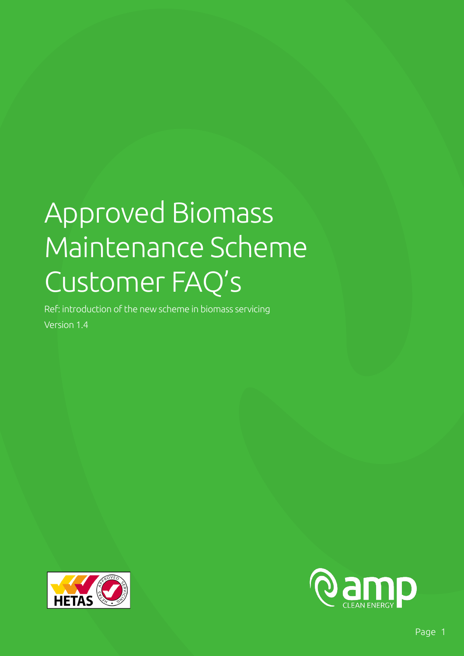# Approved Biomass Maintenance Scheme Customer FAQ's

Ref: introduction of the new scheme in biomass servicing Version 1.4



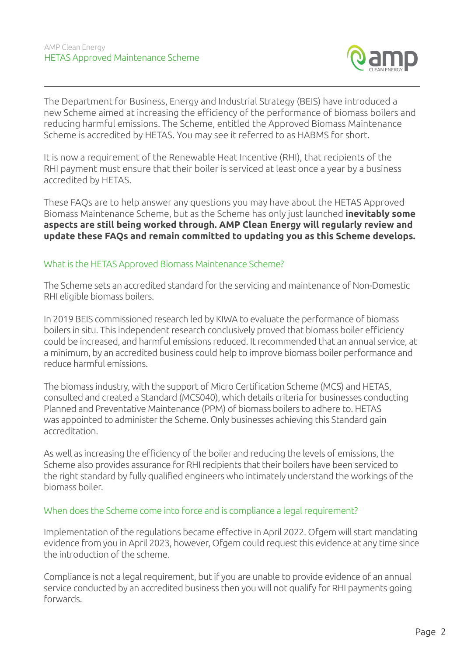

The Department for Business, Energy and Industrial Strategy (BEIS) have introduced a new Scheme aimed at increasing the efficiency of the performance of biomass boilers and reducing harmful emissions. The Scheme, entitled the Approved Biomass Maintenance Scheme is accredited by HETAS. You may see it referred to as HABMS for short.

It is now a requirement of the Renewable Heat Incentive (RHI), that recipients of the RHI payment must ensure that their boiler is serviced at least once a year by a business accredited by HETAS.

These FAQs are to help answer any questions you may have about the HETAS Approved Biomass Maintenance Scheme, but as the Scheme has only just launched **inevitably some aspects are still being worked through. AMP Clean Energy will regularly review and update these FAQs and remain committed to updating you as this Scheme develops.**

#### What is the HETAS Approved Biomass Maintenance Scheme?

The Scheme sets an accredited standard for the servicing and maintenance of Non-Domestic RHI eligible biomass boilers.

In 2019 BEIS commissioned research led by KIWA to evaluate the performance of biomass boilers in situ. This independent research conclusively proved that biomass boiler efficiency could be increased, and harmful emissions reduced. It recommended that an annual service, at a minimum, by an accredited business could help to improve biomass boiler performance and reduce harmful emissions.

The biomass industry, with the support of Micro Certification Scheme (MCS) and HETAS, consulted and created a Standard (MCS040), which details criteria for businesses conducting Planned and Preventative Maintenance (PPM) of biomass boilers to adhere to. HETAS was appointed to administer the Scheme. Only businesses achieving this Standard gain accreditation.

As well as increasing the efficiency of the boiler and reducing the levels of emissions, the Scheme also provides assurance for RHI recipients that their boilers have been serviced to the right standard by fully qualified engineers who intimately understand the workings of the biomass boiler.

# When does the Scheme come into force and is compliance a legal requirement?

Implementation of the regulations became effective in April 2022. Ofgem will start mandating evidence from you in April 2023, however, Ofgem could request this evidence at any time since the introduction of the scheme.

Compliance is not a legal requirement, but if you are unable to provide evidence of an annual service conducted by an accredited business then you will not qualify for RHI payments going forwards.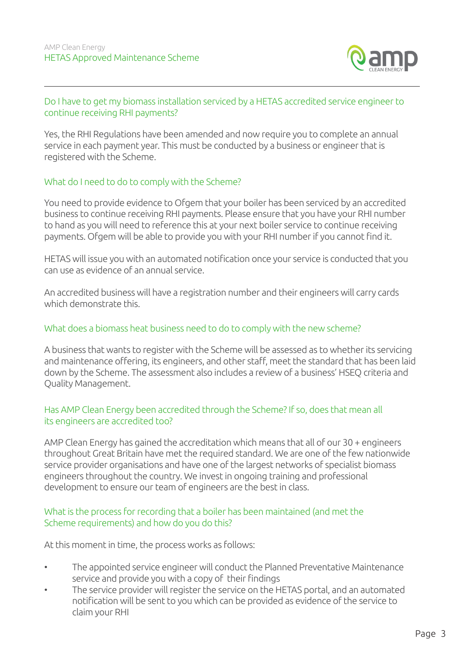

# Do I have to get my biomass installation serviced by a HETAS accredited service engineer to continue receiving RHI payments?

Yes, the RHI Regulations have been amended and now require you to complete an annual service in each payment year. This must be conducted by a business or engineer that is registered with the Scheme.

# What do I need to do to comply with the Scheme?

You need to provide evidence to Ofgem that your boiler has been serviced by an accredited business to continue receiving RHI payments. Please ensure that you have your RHI number to hand as you will need to reference this at your next boiler service to continue receiving payments. Ofgem will be able to provide you with your RHI number if you cannot find it.

HETAS will issue you with an automated notification once your service is conducted that you can use as evidence of an annual service.

An accredited business will have a registration number and their engineers will carry cards which demonstrate this.

# What does a biomass heat business need to do to comply with the new scheme?

A business that wants to register with the Scheme will be assessed as to whether its servicing and maintenance offering, its engineers, and other staff, meet the standard that has been laid down by the Scheme. The assessment also includes a review of a business' HSEQ criteria and Quality Management.

# Has AMP Clean Energy been accredited through the Scheme? If so, does that mean all its engineers are accredited too?

AMP Clean Energy has gained the accreditation which means that all of our 30 + engineers throughout Great Britain have met the required standard. We are one of the few nationwide service provider organisations and have one of the largest networks of specialist biomass engineers throughout the country. We invest in ongoing training and professional development to ensure our team of engineers are the best in class.

#### What is the process for recording that a boiler has been maintained (and met the Scheme requirements) and how do you do this?

At this moment in time, the process works as follows:

- The appointed service engineer will conduct the Planned Preventative Maintenance service and provide you with a copy of their findings
- The service provider will register the service on the HETAS portal, and an automated notification will be sent to you which can be provided as evidence of the service to claim your RHI